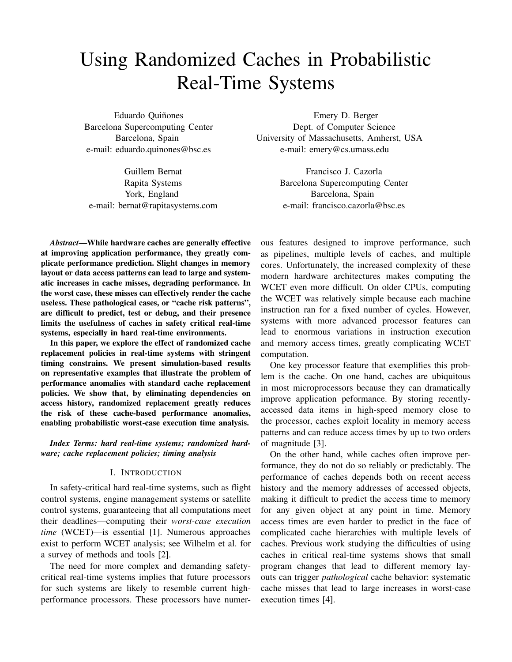# Using Randomized Caches in Probabilistic Real-Time Systems

Eduardo Ouiñones Barcelona Supercomputing Center Barcelona, Spain e-mail: eduardo.quinones@bsc.es

Guillem Bernat Rapita Systems York, England e-mail: bernat@rapitasystems.com

Emery D. Berger Dept. of Computer Science University of Massachusetts, Amherst, USA e-mail: emery@cs.umass.edu

> Francisco J. Cazorla Barcelona Supercomputing Center Barcelona, Spain e-mail: francisco.cazorla@bsc.es

*Abstract*—While hardware caches are generally effective at improving application performance, they greatly complicate performance prediction. Slight changes in memory layout or data access patterns can lead to large and systematic increases in cache misses, degrading performance. In the worst case, these misses can effectively render the cache useless. These pathological cases, or "cache risk patterns", are difficult to predict, test or debug, and their presence limits the usefulness of caches in safety critical real-time systems, especially in hard real-time environments.

In this paper, we explore the effect of randomized cache replacement policies in real-time systems with stringent timing constrains. We present simulation-based results on representative examples that illustrate the problem of performance anomalies with standard cache replacement policies. We show that, by eliminating dependencies on access history, randomized replacement greatly reduces the risk of these cache-based performance anomalies, enabling probabilistic worst-case execution time analysis.

*Index Terms: hard real-time systems; randomized hardware; cache replacement policies; timing analysis*

## I. INTRODUCTION

In safety-critical hard real-time systems, such as flight control systems, engine management systems or satellite control systems, guaranteeing that all computations meet their deadlines—computing their *worst-case execution time* (WCET)—is essential [1]. Numerous approaches exist to perform WCET analysis; see Wilhelm et al. for a survey of methods and tools [2].

The need for more complex and demanding safetycritical real-time systems implies that future processors for such systems are likely to resemble current highperformance processors. These processors have numerous features designed to improve performance, such as pipelines, multiple levels of caches, and multiple cores. Unfortunately, the increased complexity of these modern hardware architectures makes computing the WCET even more difficult. On older CPUs, computing the WCET was relatively simple because each machine instruction ran for a fixed number of cycles. However, systems with more advanced processor features can lead to enormous variations in instruction execution and memory access times, greatly complicating WCET computation.

One key processor feature that exemplifies this problem is the cache. On one hand, caches are ubiquitous in most microprocessors because they can dramatically improve application peformance. By storing recentlyaccessed data items in high-speed memory close to the processor, caches exploit locality in memory access patterns and can reduce access times by up to two orders of magnitude [3].

On the other hand, while caches often improve performance, they do not do so reliably or predictably. The performance of caches depends both on recent access history and the memory addresses of accessed objects, making it difficult to predict the access time to memory for any given object at any point in time. Memory access times are even harder to predict in the face of complicated cache hierarchies with multiple levels of caches. Previous work studying the difficulties of using caches in critical real-time systems shows that small program changes that lead to different memory layouts can trigger *pathological* cache behavior: systematic cache misses that lead to large increases in worst-case execution times [4].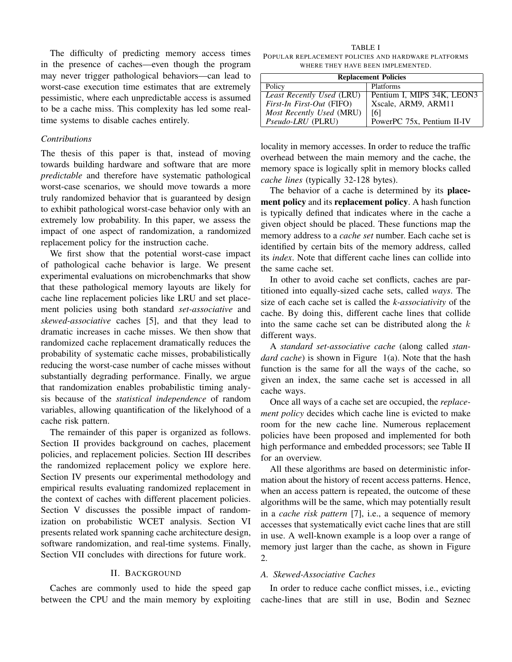The difficulty of predicting memory access times in the presence of caches—even though the program may never trigger pathological behaviors—can lead to worst-case execution time estimates that are extremely pessimistic, where each unpredictable access is assumed to be a cache miss. This complexity has led some realtime systems to disable caches entirely.

# *Contributions*

The thesis of this paper is that, instead of moving towards building hardware and software that are more *predictable* and therefore have systematic pathological worst-case scenarios, we should move towards a more truly randomized behavior that is guaranteed by design to exhibit pathological worst-case behavior only with an extremely low probability. In this paper, we assess the impact of one aspect of randomization, a randomized replacement policy for the instruction cache.

We first show that the potential worst-case impact of pathological cache behavior is large. We present experimental evaluations on microbenchmarks that show that these pathological memory layouts are likely for cache line replacement policies like LRU and set placement policies using both standard *set-associative* and *skewed-associative* caches [5], and that they lead to dramatic increases in cache misses. We then show that randomized cache replacement dramatically reduces the probability of systematic cache misses, probabilistically reducing the worst-case number of cache misses without substantially degrading performance. Finally, we argue that randomization enables probabilistic timing analysis because of the *statistical independence* of random variables, allowing quantification of the likelyhood of a cache risk pattern.

The remainder of this paper is organized as follows. Section II provides background on caches, placement policies, and replacement policies. Section III describes the randomized replacement policy we explore here. Section IV presents our experimental methodology and empirical results evaluating randomized replacement in the context of caches with different placement policies. Section V discusses the possible impact of randomization on probabilistic WCET analysis. Section VI presents related work spanning cache architecture design, software randomization, and real-time systems. Finally, Section VII concludes with directions for future work.

# II. BACKGROUND

Caches are commonly used to hide the speed gap between the CPU and the main memory by exploiting

TABLE I POPULAR REPLACEMENT POLICIES AND HARDWARE PLATFORMS WHERE THEY HAVE BEEN IMPLEMENTED.

| <b>Replacement Policies</b> |                            |  |
|-----------------------------|----------------------------|--|
| Policy                      | Platforms                  |  |
| Least Recently Used (LRU)   | Pentium I, MIPS 34K, LEON3 |  |
| First-In First-Out (FIFO)   | Xscale, ARM9, ARM11        |  |
| Most Recently Used (MRU)    | [6]                        |  |
| Pseudo-LRU (PLRU)           | PowerPC 75x, Pentium II-IV |  |

locality in memory accesses. In order to reduce the traffic overhead between the main memory and the cache, the memory space is logically split in memory blocks called *cache lines* (typically 32-128 bytes).

The behavior of a cache is determined by its **place**ment policy and its replacement policy. A hash function is typically defined that indicates where in the cache a given object should be placed. These functions map the memory address to a *cache set* number. Each cache set is identified by certain bits of the memory address, called its *index*. Note that different cache lines can collide into the same cache set.

In other to avoid cache set conflicts, caches are partitioned into equally-sized cache sets, called *ways*. The size of each cache set is called the *k-associativity* of the cache. By doing this, different cache lines that collide into the same cache set can be distributed along the  $k$ different ways.

A *standard set-associative cache* (along called *standard cache*) is shown in Figure 1(a). Note that the hash function is the same for all the ways of the cache, so given an index, the same cache set is accessed in all cache ways.

Once all ways of a cache set are occupied, the *replacement policy* decides which cache line is evicted to make room for the new cache line. Numerous replacement policies have been proposed and implemented for both high performance and embedded processors; see Table II for an overview.

All these algorithms are based on deterministic information about the history of recent access patterns. Hence, when an access pattern is repeated, the outcome of these algorithms will be the same, which may potentially result in a *cache risk pattern* [7], i.e., a sequence of memory accesses that systematically evict cache lines that are still in use. A well-known example is a loop over a range of memory just larger than the cache, as shown in Figure 2.

# *A. Skewed-Associative Caches*

In order to reduce cache conflict misses, i.e., evicting cache-lines that are still in use, Bodin and Seznec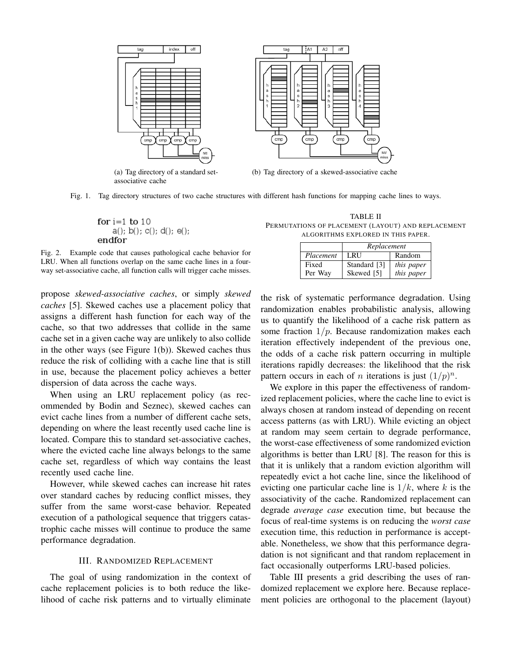

(a) Tag directory of a standard setassociative cache

(b) Tag directory of a skewed-associative cache

Fig. 1. Tag directory structures of two cache structures with different hash functions for mapping cache lines to ways.

for  $i=1$  to 10  $a(); b(); c(); d(); e();$ endfor

Fig. 2. Example code that causes pathological cache behavior for LRU. When all functions overlap on the same cache lines in a fourway set-associative cache, all function calls will trigger cache misses.

propose *skewed-associative caches*, or simply *skewed caches* [5]. Skewed caches use a placement policy that assigns a different hash function for each way of the cache, so that two addresses that collide in the same cache set in a given cache way are unlikely to also collide in the other ways (see Figure 1(b)). Skewed caches thus reduce the risk of colliding with a cache line that is still in use, because the placement policy achieves a better dispersion of data across the cache ways.

When using an LRU replacement policy (as recommended by Bodin and Seznec), skewed caches can evict cache lines from a number of different cache sets, depending on where the least recently used cache line is located. Compare this to standard set-associative caches, where the evicted cache line always belongs to the same cache set, regardless of which way contains the least recently used cache line.

However, while skewed caches can increase hit rates over standard caches by reducing conflict misses, they suffer from the same worst-case behavior. Repeated execution of a pathological sequence that triggers catastrophic cache misses will continue to produce the same performance degradation.

# III. RANDOMIZED REPLACEMENT

The goal of using randomization in the context of cache replacement policies is to both reduce the likelihood of cache risk patterns and to virtually eliminate

TABLE II PERMUTATIONS OF PLACEMENT (LAYOUT) AND REPLACEMENT ALGORITHMS EXPLORED IN THIS PAPER.

|           | Replacement  |            |
|-----------|--------------|------------|
| Placement | LRU          | Random     |
| Fixed     | Standard [3] | this paper |
| Per Way   | Skewed [5]   | this paper |

the risk of systematic performance degradation. Using randomization enables probabilistic analysis, allowing us to quantify the likelihood of a cache risk pattern as some fraction  $1/p$ . Because randomization makes each iteration effectively independent of the previous one, the odds of a cache risk pattern occurring in multiple iterations rapidly decreases: the likelihood that the risk pattern occurs in each of *n* iterations is just  $(1/p)^n$ .

We explore in this paper the effectiveness of randomized replacement policies, where the cache line to evict is always chosen at random instead of depending on recent access patterns (as with LRU). While evicting an object at random may seem certain to degrade performance, the worst-case effectiveness of some randomized eviction algorithms is better than LRU [8]. The reason for this is that it is unlikely that a random eviction algorithm will repeatedly evict a hot cache line, since the likelihood of evicting one particular cache line is  $1/k$ , where k is the associativity of the cache. Randomized replacement can degrade *average case* execution time, but because the focus of real-time systems is on reducing the *worst case* execution time, this reduction in performance is acceptable. Nonetheless, we show that this performance degradation is not significant and that random replacement in fact occasionally outperforms LRU-based policies.

Table III presents a grid describing the uses of randomized replacement we explore here. Because replacement policies are orthogonal to the placement (layout)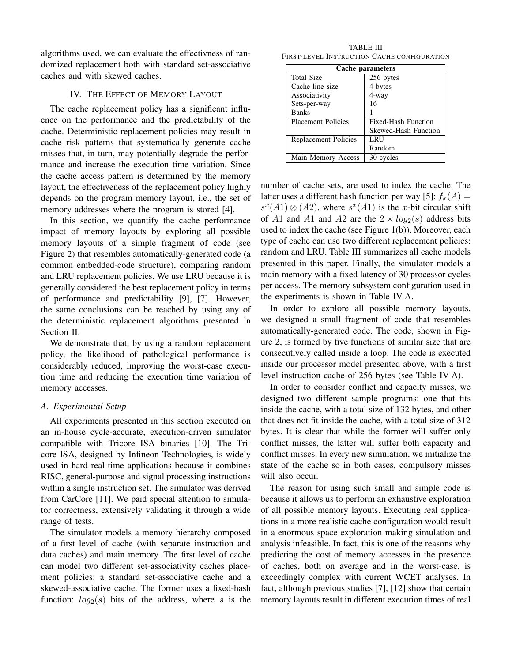algorithms used, we can evaluate the effectivness of randomized replacement both with standard set-associative caches and with skewed caches.

## IV. THE EFFECT OF MEMORY LAYOUT

The cache replacement policy has a significant influence on the performance and the predictability of the cache. Deterministic replacement policies may result in cache risk patterns that systematically generate cache misses that, in turn, may potentially degrade the performance and increase the execution time variation. Since the cache access pattern is determined by the memory layout, the effectiveness of the replacement policy highly depends on the program memory layout, i.e., the set of memory addresses where the program is stored [4].

In this section, we quantify the cache performance impact of memory layouts by exploring all possible memory layouts of a simple fragment of code (see Figure 2) that resembles automatically-generated code (a common embedded-code structure), comparing random and LRU replacement policies. We use LRU because it is generally considered the best replacement policy in terms of performance and predictability [9], [7]. However, the same conclusions can be reached by using any of the deterministic replacement algorithms presented in Section II.

We demonstrate that, by using a random replacement policy, the likelihood of pathological performance is considerably reduced, improving the worst-case execution time and reducing the execution time variation of memory accesses.

#### *A. Experimental Setup*

All experiments presented in this section executed on an in-house cycle-accurate, execution-driven simulator compatible with Tricore ISA binaries [10]. The Tricore ISA, designed by Infineon Technologies, is widely used in hard real-time applications because it combines RISC, general-purpose and signal processing instructions within a single instruction set. The simulator was derived from CarCore [11]. We paid special attention to simulator correctness, extensively validating it through a wide range of tests.

The simulator models a memory hierarchy composed of a first level of cache (with separate instruction and data caches) and main memory. The first level of cache can model two different set-associativity caches placement policies: a standard set-associative cache and a skewed-associative cache. The former uses a fixed-hash function:  $log_2(s)$  bits of the address, where s is the

TABLE III FIRST-LEVEL INSTRUCTION CACHE CONFIGURATION

| Cache parameters          |                             |  |
|---------------------------|-----------------------------|--|
| <b>Total Size</b>         | 256 bytes                   |  |
| Cache line size           | 4 bytes                     |  |
| Associativity             | 4-way                       |  |
| Sets-per-way              | 16                          |  |
| <b>Banks</b>              |                             |  |
| <b>Placement Policies</b> | <b>Fixed-Hash Function</b>  |  |
|                           | <b>Skewed-Hash Function</b> |  |
| Replacement Policies      | LRU                         |  |
|                           | Random                      |  |
| Main Memory Access        | 30 cycles                   |  |

number of cache sets, are used to index the cache. The latter uses a different hash function per way [5]:  $f_x(A) =$  $s^x(A1) \otimes (A2)$ , where  $s^x(A1)$  is the x-bit circular shift of A1 and A1 and A2 are the  $2 \times log_2(s)$  address bits used to index the cache (see Figure 1(b)). Moreover, each type of cache can use two different replacement policies: random and LRU. Table III summarizes all cache models presented in this paper. Finally, the simulator models a main memory with a fixed latency of 30 processor cycles per access. The memory subsystem configuration used in the experiments is shown in Table IV-A.

In order to explore all possible memory layouts, we designed a small fragment of code that resembles automatically-generated code. The code, shown in Figure 2, is formed by five functions of similar size that are consecutively called inside a loop. The code is executed inside our processor model presented above, with a first level instruction cache of 256 bytes (see Table IV-A).

In order to consider conflict and capacity misses, we designed two different sample programs: one that fits inside the cache, with a total size of 132 bytes, and other that does not fit inside the cache, with a total size of 312 bytes. It is clear that while the former will suffer only conflict misses, the latter will suffer both capacity and conflict misses. In every new simulation, we initialize the state of the cache so in both cases, compulsory misses will also occur.

The reason for using such small and simple code is because it allows us to perform an exhaustive exploration of all possible memory layouts. Executing real applications in a more realistic cache configuration would result in a enormous space exploration making simulation and analysis infeasible. In fact, this is one of the reasons why predicting the cost of memory accesses in the presence of caches, both on average and in the worst-case, is exceedingly complex with current WCET analyses. In fact, although previous studies [7], [12] show that certain memory layouts result in different execution times of real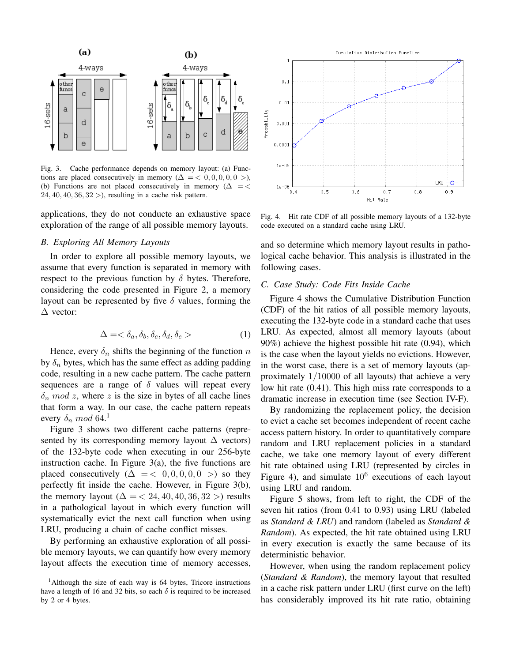

Fig. 3. Cache performance depends on memory layout: (a) Functions are placed consecutively in memory ( $\Delta =$  < 0, 0, 0, 0, 0 >), (b) Functions are not placed consecutively in memory ( $\Delta$  = <  $24, 40, 40, 36, 32$  >), resulting in a cache risk pattern.

applications, they do not conducte an exhaustive space exploration of the range of all possible memory layouts.

#### *B. Exploring All Memory Layouts*

In order to explore all possible memory layouts, we assume that every function is separated in memory with respect to the previous function by  $\delta$  bytes. Therefore, considering the code presented in Figure 2, a memory layout can be represented by five  $\delta$  values, forming the ∆ vector:

$$
\Delta = \langle \delta_a, \delta_b, \delta_c, \delta_d, \delta_e \rangle \tag{1}
$$

Hence, every  $\delta_n$  shifts the beginning of the function n by  $\delta_n$  bytes, which has the same effect as adding padding code, resulting in a new cache pattern. The cache pattern sequences are a range of  $\delta$  values will repeat every  $\delta_n \mod z$ , where z is the size in bytes of all cache lines that form a way. In our case, the cache pattern repeats every  $\delta_n \ mod \ 64.^1$ 

Figure 3 shows two different cache patterns (represented by its corresponding memory layout  $\Delta$  vectors) of the 132-byte code when executing in our 256-byte instruction cache. In Figure  $3(a)$ , the five functions are placed consecutively  $(\Delta = 0, 0, 0, 0, 0, 0)$  so they perfectly fit inside the cache. However, in Figure 3(b), the memory layout ( $\Delta =$  < 24, 40, 40, 36, 32 >) results in a pathological layout in which every function will systematically evict the next call function when using LRU, producing a chain of cache conflict misses.

By performing an exhaustive exploration of all possible memory layouts, we can quantify how every memory layout affects the execution time of memory accesses,



Fig. 4. Hit rate CDF of all possible memory layouts of a 132-byte code executed on a standard cache using LRU.

and so determine which memory layout results in pathological cache behavior. This analysis is illustrated in the following cases.

# *C. Case Study: Code Fits Inside Cache*

Figure 4 shows the Cumulative Distribution Function (CDF) of the hit ratios of all possible memory layouts, executing the 132-byte code in a standard cache that uses LRU. As expected, almost all memory layouts (about 90%) achieve the highest possible hit rate (0.94), which is the case when the layout yields no evictions. However, in the worst case, there is a set of memory layouts (approximately 1/10000 of all layouts) that achieve a very low hit rate (0.41). This high miss rate corresponds to a dramatic increase in execution time (see Section IV-F).

By randomizing the replacement policy, the decision to evict a cache set becomes independent of recent cache access pattern history. In order to quantitatively compare random and LRU replacement policies in a standard cache, we take one memory layout of every different hit rate obtained using LRU (represented by circles in Figure 4), and simulate  $10^6$  executions of each layout using LRU and random.

Figure 5 shows, from left to right, the CDF of the seven hit ratios (from 0.41 to 0.93) using LRU (labeled as *Standard & LRU*) and random (labeled as *Standard & Random*). As expected, the hit rate obtained using LRU in every execution is exactly the same because of its deterministic behavior.

However, when using the random replacement policy (*Standard & Random*), the memory layout that resulted in a cache risk pattern under LRU (first curve on the left) has considerably improved its hit rate ratio, obtaining

<sup>&</sup>lt;sup>1</sup>Although the size of each way is 64 bytes, Tricore instructions have a length of 16 and 32 bits, so each  $\delta$  is required to be increased by 2 or 4 bytes.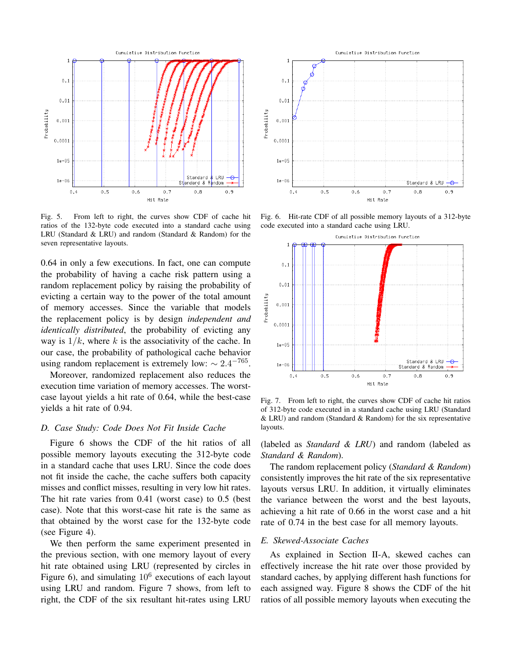

Fig. 5. From left to right, the curves show CDF of cache hit ratios of the 132-byte code executed into a standard cache using LRU (Standard & LRU) and random (Standard & Random) for the seven representative layouts.

0.64 in only a few executions. In fact, one can compute the probability of having a cache risk pattern using a random replacement policy by raising the probability of evicting a certain way to the power of the total amount of memory accesses. Since the variable that models the replacement policy is by design *independent and identically distributed*, the probability of evicting any way is  $1/k$ , where k is the associativity of the cache. In our case, the probability of pathological cache behavior using random replacement is extremely low:  $\sim 2.4^{-765}$ .

Moreover, randomized replacement also reduces the execution time variation of memory accesses. The worstcase layout yields a hit rate of 0.64, while the best-case yields a hit rate of 0.94.

# *D. Case Study: Code Does Not Fit Inside Cache*

Figure 6 shows the CDF of the hit ratios of all possible memory layouts executing the 312-byte code in a standard cache that uses LRU. Since the code does not fit inside the cache, the cache suffers both capacity misses and conflict misses, resulting in very low hit rates. The hit rate varies from 0.41 (worst case) to 0.5 (best case). Note that this worst-case hit rate is the same as that obtained by the worst case for the 132-byte code (see Figure 4).

We then perform the same experiment presented in the previous section, with one memory layout of every hit rate obtained using LRU (represented by circles in Figure 6), and simulating  $10^6$  executions of each layout using LRU and random. Figure 7 shows, from left to right, the CDF of the six resultant hit-rates using LRU



Fig. 6. Hit-rate CDF of all possible memory layouts of a 312-byte code executed into a standard cache using LRU.



Fig. 7. From left to right, the curves show CDF of cache hit ratios of 312-byte code executed in a standard cache using LRU (Standard & LRU) and random (Standard & Random) for the six representative layouts.

(labeled as *Standard & LRU*) and random (labeled as *Standard & Random*).

The random replacement policy (*Standard & Random*) consistently improves the hit rate of the six representative layouts versus LRU. In addition, it virtually eliminates the variance between the worst and the best layouts, achieving a hit rate of 0.66 in the worst case and a hit rate of 0.74 in the best case for all memory layouts.

#### *E. Skewed-Associate Caches*

As explained in Section II-A, skewed caches can effectively increase the hit rate over those provided by standard caches, by applying different hash functions for each assigned way. Figure 8 shows the CDF of the hit ratios of all possible memory layouts when executing the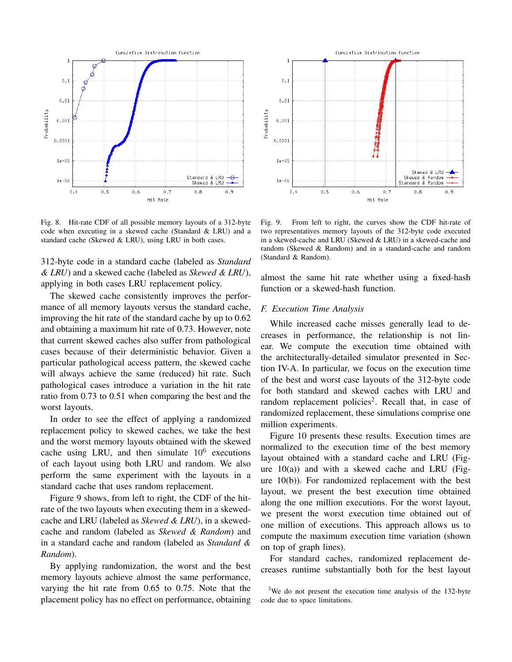

Fig. 8. Hit-rate CDF of all possible memory layouts of a 312-byte code when executing in a skewed cache (Standard & LRU) and a standard cache (Skewed & LRU), using LRU in both cases.

312-byte code in a standard cache (labeled as *Standard & LRU*) and a skewed cache (labeled as *Skewed & LRU*), applying in both cases LRU replacement policy.

The skewed cache consistently improves the performance of all memory layouts versus the standard cache, improving the hit rate of the standard cache by up to 0.62 and obtaining a maximum hit rate of 0.73. However, note that current skewed caches also suffer from pathological cases because of their deterministic behavior. Given a particular pathological access pattern, the skewed cache will always achieve the same (reduced) hit rate. Such pathological cases introduce a variation in the hit rate ratio from 0.73 to 0.51 when comparing the best and the worst layouts.

In order to see the effect of applying a randomized replacement policy to skewed caches, we take the best and the worst memory layouts obtained with the skewed cache using LRU, and then simulate  $10^6$  executions of each layout using both LRU and random. We also perform the same experiment with the layouts in a standard cache that uses random replacement.

Figure 9 shows, from left to right, the CDF of the hitrate of the two layouts when executing them in a skewedcache and LRU (labeled as *Skewed & LRU*), in a skewedcache and random (labeled as *Skewed & Random*) and in a standard cache and random (labeled as *Standard & Random*).

By applying randomization, the worst and the best memory layouts achieve almost the same performance, varying the hit rate from 0.65 to 0.75. Note that the placement policy has no effect on performance, obtaining



Fig. 9. From left to right, the curves show the CDF hit-rate of two representatives memory layouts of the 312-byte code executed in a skewed-cache and LRU (Skewed & LRU) in a skewed-cache and random (Skewed & Random) and in a standard-cache and random (Standard & Random).

almost the same hit rate whether using a fixed-hash function or a skewed-hash function.

# *F. Execution Time Analysis*

While increased cache misses generally lead to decreases in performance, the relationship is not linear. We compute the execution time obtained with the architecturally-detailed simulator presented in Section IV-A. In particular, we focus on the execution time of the best and worst case layouts of the 312-byte code for both standard and skewed caches with LRU and random replacement policies<sup>2</sup>. Recall that, in case of randomized replacement, these simulations comprise one million experiments.

Figure 10 presents these results. Execution times are normalized to the execution time of the best memory layout obtained with a standard cache and LRU (Figure  $10(a)$ ) and with a skewed cache and LRU (Figure 10(b)). For randomized replacement with the best layout, we present the best execution time obtained along the one million executions. For the worst layout, we present the worst execution time obtained out of one million of executions. This approach allows us to compute the maximum execution time variation (shown on top of graph lines).

For standard caches, randomized replacement decreases runtime substantially both for the best layout

<sup>&</sup>lt;sup>2</sup>We do not present the execution time analysis of the 132-byte code due to space limitations.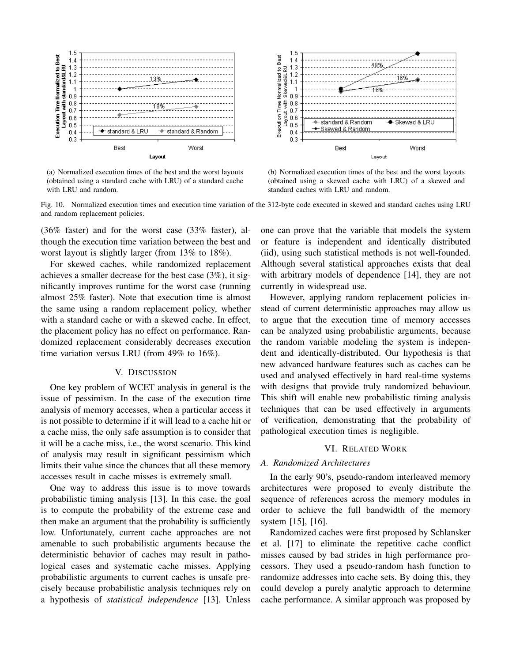

(a) Normalized execution times of the best and the worst layouts (obtained using a standard cache with LRU) of a standard cache with LRU and random.

(b) Normalized execution times of the best and the worst layouts (obtained using a skewed cache with LRU) of a skewed and standard caches with LRU and random.

16%

**←** Skewed & LRU

Worst

Fig. 10. Normalized execution times and execution time variation of the 312-byte code executed in skewed and standard caches using LRU and random replacement policies.

(36% faster) and for the worst case (33% faster), although the execution time variation between the best and worst layout is slightly larger (from 13% to 18%).

For skewed caches, while randomized replacement achieves a smaller decrease for the best case (3%), it significantly improves runtime for the worst case (running almost 25% faster). Note that execution time is almost the same using a random replacement policy, whether with a standard cache or with a skewed cache. In effect, the placement policy has no effect on performance. Randomized replacement considerably decreases execution time variation versus LRU (from 49% to 16%).

# V. DISCUSSION

One key problem of WCET analysis in general is the issue of pessimism. In the case of the execution time analysis of memory accesses, when a particular access it is not possible to determine if it will lead to a cache hit or a cache miss, the only safe assumption is to consider that it will be a cache miss, i.e., the worst scenario. This kind of analysis may result in significant pessimism which limits their value since the chances that all these memory accesses result in cache misses is extremely small.

One way to address this issue is to move towards probabilistic timing analysis [13]. In this case, the goal is to compute the probability of the extreme case and then make an argument that the probability is sufficiently low. Unfortunately, current cache approaches are not amenable to such probabilistic arguments because the deterministic behavior of caches may result in pathological cases and systematic cache misses. Applying probabilistic arguments to current caches is unsafe precisely because probabilistic analysis techniques rely on a hypothesis of *statistical independence* [13]. Unless one can prove that the variable that models the system or feature is independent and identically distributed (iid), using such statistical methods is not well-founded. Although several statistical approaches exists that deal with arbitrary models of dependence [14], they are not currently in widespread use.

However, applying random replacement policies instead of current deterministic approaches may allow us to argue that the execution time of memory accesses can be analyzed using probabilistic arguments, because the random variable modeling the system is independent and identically-distributed. Our hypothesis is that new advanced hardware features such as caches can be used and analysed effectively in hard real-time systems with designs that provide truly randomized behaviour. This shift will enable new probabilistic timing analysis techniques that can be used effectively in arguments of verification, demonstrating that the probability of pathological execution times is negligible.

# VI. RELATED WORK

## *A. Randomized Architectures*

In the early 90's, pseudo-random interleaved memory architectures were proposed to evenly distribute the sequence of references across the memory modules in order to achieve the full bandwidth of the memory system [15], [16].

Randomized caches were first proposed by Schlansker et al. [17] to eliminate the repetitive cache conflict misses caused by bad strides in high performance processors. They used a pseudo-random hash function to randomize addresses into cache sets. By doing this, they could develop a purely analytic approach to determine cache performance. A similar approach was proposed by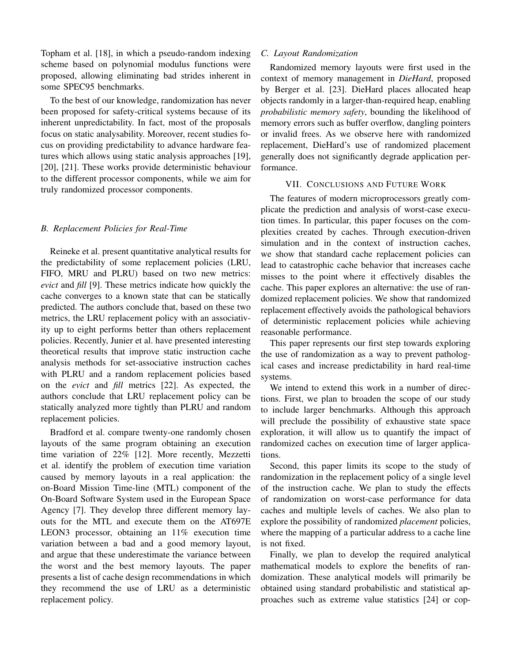Topham et al. [18], in which a pseudo-random indexing scheme based on polynomial modulus functions were proposed, allowing eliminating bad strides inherent in some SPEC95 benchmarks.

To the best of our knowledge, randomization has never been proposed for safety-critical systems because of its inherent unpredictability. In fact, most of the proposals focus on static analysability. Moreover, recent studies focus on providing predictability to advance hardware features which allows using static analysis approaches [19], [20], [21]. These works provide deterministic behaviour to the different processor components, while we aim for truly randomized processor components.

# *B. Replacement Policies for Real-Time*

Reineke et al. present quantitative analytical results for the predictability of some replacement policies (LRU, FIFO, MRU and PLRU) based on two new metrics: *evict* and *fill* [9]. These metrics indicate how quickly the cache converges to a known state that can be statically predicted. The authors conclude that, based on these two metrics, the LRU replacement policy with an associativity up to eight performs better than others replacement policies. Recently, Junier et al. have presented interesting theoretical results that improve static instruction cache analysis methods for set-associative instruction caches with PLRU and a random replacement policies based on the *evict* and *fill* metrics [22]. As expected, the authors conclude that LRU replacement policy can be statically analyzed more tightly than PLRU and random replacement policies.

Bradford et al. compare twenty-one randomly chosen layouts of the same program obtaining an execution time variation of 22% [12]. More recently, Mezzetti et al. identify the problem of execution time variation caused by memory layouts in a real application: the on-Board Mission Time-line (MTL) component of the On-Board Software System used in the European Space Agency [7]. They develop three different memory layouts for the MTL and execute them on the AT697E LEON3 processor, obtaining an 11% execution time variation between a bad and a good memory layout, and argue that these underestimate the variance between the worst and the best memory layouts. The paper presents a list of cache design recommendations in which they recommend the use of LRU as a deterministic replacement policy.

## *C. Layout Randomization*

Randomized memory layouts were first used in the context of memory management in *DieHard*, proposed by Berger et al. [23]. DieHard places allocated heap objects randomly in a larger-than-required heap, enabling *probabilistic memory safety*, bounding the likelihood of memory errors such as buffer overflow, dangling pointers or invalid frees. As we observe here with randomized replacement, DieHard's use of randomized placement generally does not significantly degrade application performance.

# VII. CONCLUSIONS AND FUTURE WORK

The features of modern microprocessors greatly complicate the prediction and analysis of worst-case execution times. In particular, this paper focuses on the complexities created by caches. Through execution-driven simulation and in the context of instruction caches, we show that standard cache replacement policies can lead to catastrophic cache behavior that increases cache misses to the point where it effectively disables the cache. This paper explores an alternative: the use of randomized replacement policies. We show that randomized replacement effectively avoids the pathological behaviors of deterministic replacement policies while achieving reasonable performance.

This paper represents our first step towards exploring the use of randomization as a way to prevent pathological cases and increase predictability in hard real-time systems.

We intend to extend this work in a number of directions. First, we plan to broaden the scope of our study to include larger benchmarks. Although this approach will preclude the possibility of exhaustive state space exploration, it will allow us to quantify the impact of randomized caches on execution time of larger applications.

Second, this paper limits its scope to the study of randomization in the replacement policy of a single level of the instruction cache. We plan to study the effects of randomization on worst-case performance for data caches and multiple levels of caches. We also plan to explore the possibility of randomized *placement* policies, where the mapping of a particular address to a cache line is not fixed.

Finally, we plan to develop the required analytical mathematical models to explore the benefits of randomization. These analytical models will primarily be obtained using standard probabilistic and statistical approaches such as extreme value statistics [24] or cop